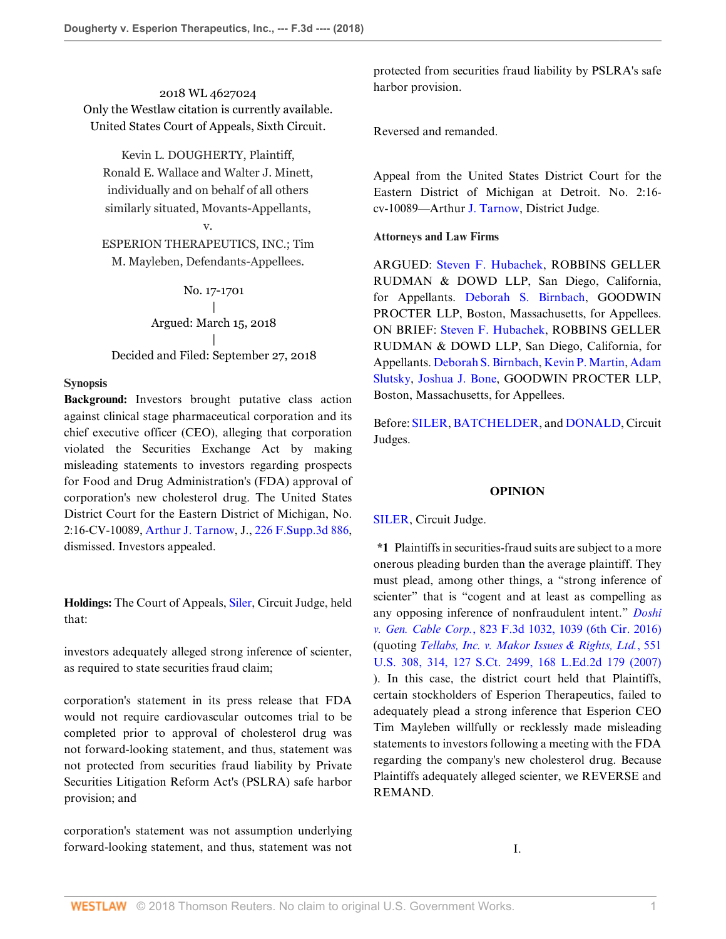2018 WL 4627024 Only the Westlaw citation is currently available. United States Court of Appeals, Sixth Circuit.

Kevin L. DOUGHERTY, Plaintiff,

Ronald E. Wallace and Walter J. Minett, individually and on behalf of all others similarly situated, Movants-Appellants, v.

ESPERION THERAPEUTICS, INC.; Tim M. Mayleben, Defendants-Appellees.

No. 17-1701 | Argued: March 15, 2018 | Decided and Filed: September 27, 2018

## **Synopsis**

**Background:** Investors brought putative class action against clinical stage pharmaceutical corporation and its chief executive officer (CEO), alleging that corporation violated the Securities Exchange Act by making misleading statements to investors regarding prospects for Food and Drug Administration's (FDA) approval of corporation's new cholesterol drug. The United States District Court for the Eastern District of Michigan, No. 2:16-CV-10089, [Arthur J. Tarnow,](http://www.westlaw.com/Link/Document/FullText?findType=h&pubNum=176284&cite=0237327401&originatingDoc=If5ccff60c2b211e89a72e3efe6364bb2&refType=RQ&originationContext=document&vr=3.0&rs=cblt1.0&transitionType=DocumentItem&contextData=(sc.Search)) J., [226 F.Supp.3d 886](http://www.westlaw.com/Link/Document/FullText?findType=Y&serNum=2040620346&pubNum=0007903&originatingDoc=If5ccff60c2b211e89a72e3efe6364bb2&refType=RP&originationContext=document&vr=3.0&rs=cblt1.0&transitionType=DocumentItem&contextData=(sc.Search)), dismissed. Investors appealed.

**Holdings:** The Court of Appeals, [Siler](http://www.westlaw.com/Link/Document/FullText?findType=h&pubNum=176284&cite=0164351101&originatingDoc=If5ccff60c2b211e89a72e3efe6364bb2&refType=RQ&originationContext=document&vr=3.0&rs=cblt1.0&transitionType=DocumentItem&contextData=(sc.Search)), Circuit Judge, held that:

investors adequately alleged strong inference of scienter, as required to state securities fraud claim;

corporation's statement in its press release that FDA would not require cardiovascular outcomes trial to be completed prior to approval of cholesterol drug was not forward-looking statement, and thus, statement was not protected from securities fraud liability by Private Securities Litigation Reform Act's (PSLRA) safe harbor provision; and

corporation's statement was not assumption underlying forward-looking statement, and thus, statement was not

protected from securities fraud liability by PSLRA's safe harbor provision.

Reversed and remanded.

Appeal from the United States District Court for the Eastern District of Michigan at Detroit. No. 2:16 cv-10089—Arthur [J. Tarnow](http://www.westlaw.com/Link/Document/FullText?findType=h&pubNum=176284&cite=0237327401&originatingDoc=If5ccff60c2b211e89a72e3efe6364bb2&refType=RQ&originationContext=document&vr=3.0&rs=cblt1.0&transitionType=DocumentItem&contextData=(sc.Search)), District Judge.

## **Attorneys and Law Firms**

ARGUED: [Steven F. Hubachek](http://www.westlaw.com/Link/Document/FullText?findType=h&pubNum=176284&cite=0215218701&originatingDoc=If5ccff60c2b211e89a72e3efe6364bb2&refType=RQ&originationContext=document&vr=3.0&rs=cblt1.0&transitionType=DocumentItem&contextData=(sc.Search)), ROBBINS GELLER RUDMAN & DOWD LLP, San Diego, California, for Appellants. [Deborah S. Birnbach,](http://www.westlaw.com/Link/Document/FullText?findType=h&pubNum=176284&cite=0241067201&originatingDoc=If5ccff60c2b211e89a72e3efe6364bb2&refType=RQ&originationContext=document&vr=3.0&rs=cblt1.0&transitionType=DocumentItem&contextData=(sc.Search)) GOODWIN PROCTER LLP, Boston, Massachusetts, for Appellees. ON BRIEF: [Steven F. Hubachek,](http://www.westlaw.com/Link/Document/FullText?findType=h&pubNum=176284&cite=0215218701&originatingDoc=If5ccff60c2b211e89a72e3efe6364bb2&refType=RQ&originationContext=document&vr=3.0&rs=cblt1.0&transitionType=DocumentItem&contextData=(sc.Search)) ROBBINS GELLER RUDMAN & DOWD LLP, San Diego, California, for Appellants. [Deborah S. Birnbach](http://www.westlaw.com/Link/Document/FullText?findType=h&pubNum=176284&cite=0241067201&originatingDoc=If5ccff60c2b211e89a72e3efe6364bb2&refType=RQ&originationContext=document&vr=3.0&rs=cblt1.0&transitionType=DocumentItem&contextData=(sc.Search)), [Kevin P. Martin](http://www.westlaw.com/Link/Document/FullText?findType=h&pubNum=176284&cite=0324698201&originatingDoc=If5ccff60c2b211e89a72e3efe6364bb2&refType=RQ&originationContext=document&vr=3.0&rs=cblt1.0&transitionType=DocumentItem&contextData=(sc.Search)), [Adam](http://www.westlaw.com/Link/Document/FullText?findType=h&pubNum=176284&cite=0374539801&originatingDoc=If5ccff60c2b211e89a72e3efe6364bb2&refType=RQ&originationContext=document&vr=3.0&rs=cblt1.0&transitionType=DocumentItem&contextData=(sc.Search)) [Slutsky](http://www.westlaw.com/Link/Document/FullText?findType=h&pubNum=176284&cite=0374539801&originatingDoc=If5ccff60c2b211e89a72e3efe6364bb2&refType=RQ&originationContext=document&vr=3.0&rs=cblt1.0&transitionType=DocumentItem&contextData=(sc.Search)), [Joshua J. Bone,](http://www.westlaw.com/Link/Document/FullText?findType=h&pubNum=176284&cite=0503814401&originatingDoc=If5ccff60c2b211e89a72e3efe6364bb2&refType=RQ&originationContext=document&vr=3.0&rs=cblt1.0&transitionType=DocumentItem&contextData=(sc.Search)) GOODWIN PROCTER LLP, Boston, Massachusetts, for Appellees.

Before: [SILER,](http://www.westlaw.com/Link/Document/FullText?findType=h&pubNum=176284&cite=0164351101&originatingDoc=If5ccff60c2b211e89a72e3efe6364bb2&refType=RQ&originationContext=document&vr=3.0&rs=cblt1.0&transitionType=DocumentItem&contextData=(sc.Search)) [BATCHELDER,](http://www.westlaw.com/Link/Document/FullText?findType=h&pubNum=176284&cite=0208247301&originatingDoc=If5ccff60c2b211e89a72e3efe6364bb2&refType=RQ&originationContext=document&vr=3.0&rs=cblt1.0&transitionType=DocumentItem&contextData=(sc.Search)) and [DONALD,](http://www.westlaw.com/Link/Document/FullText?findType=h&pubNum=176284&cite=0183950601&originatingDoc=If5ccff60c2b211e89a72e3efe6364bb2&refType=RQ&originationContext=document&vr=3.0&rs=cblt1.0&transitionType=DocumentItem&contextData=(sc.Search)) Circuit Judges.

#### **OPINION**

[SILER](http://www.westlaw.com/Link/Document/FullText?findType=h&pubNum=176284&cite=0164351101&originatingDoc=If5ccff60c2b211e89a72e3efe6364bb2&refType=RQ&originationContext=document&vr=3.0&rs=cblt1.0&transitionType=DocumentItem&contextData=(sc.Search)), Circuit Judge.

**\*1** Plaintiffs in securities-fraud suits are subject to a more onerous pleading burden than the average plaintiff. They must plead, among other things, a "strong inference of scienter" that is "cogent and at least as compelling as any opposing inference of nonfraudulent intent." *[Doshi](http://www.westlaw.com/Link/Document/FullText?findType=Y&serNum=2038920033&pubNum=0000506&originatingDoc=If5ccff60c2b211e89a72e3efe6364bb2&refType=RP&fi=co_pp_sp_506_1039&originationContext=document&vr=3.0&rs=cblt1.0&transitionType=DocumentItem&contextData=(sc.Search)#co_pp_sp_506_1039) v. Gen. Cable Corp.*[, 823 F.3d 1032, 1039 \(6th Cir. 2016\)](http://www.westlaw.com/Link/Document/FullText?findType=Y&serNum=2038920033&pubNum=0000506&originatingDoc=If5ccff60c2b211e89a72e3efe6364bb2&refType=RP&fi=co_pp_sp_506_1039&originationContext=document&vr=3.0&rs=cblt1.0&transitionType=DocumentItem&contextData=(sc.Search)#co_pp_sp_506_1039) (quoting *[Tellabs, Inc. v. Makor Issues & Rights, Ltd.](http://www.westlaw.com/Link/Document/FullText?findType=Y&serNum=2012518448&pubNum=0000708&originatingDoc=If5ccff60c2b211e89a72e3efe6364bb2&refType=RP&originationContext=document&vr=3.0&rs=cblt1.0&transitionType=DocumentItem&contextData=(sc.Search))*, 551 [U.S. 308, 314, 127 S.Ct. 2499, 168 L.Ed.2d 179 \(2007\)](http://www.westlaw.com/Link/Document/FullText?findType=Y&serNum=2012518448&pubNum=0000708&originatingDoc=If5ccff60c2b211e89a72e3efe6364bb2&refType=RP&originationContext=document&vr=3.0&rs=cblt1.0&transitionType=DocumentItem&contextData=(sc.Search)) ). In this case, the district court held that Plaintiffs, certain stockholders of Esperion Therapeutics, failed to adequately plead a strong inference that Esperion CEO Tim Mayleben willfully or recklessly made misleading statements to investors following a meeting with the FDA regarding the company's new cholesterol drug. Because Plaintiffs adequately alleged scienter, we REVERSE and REMAND.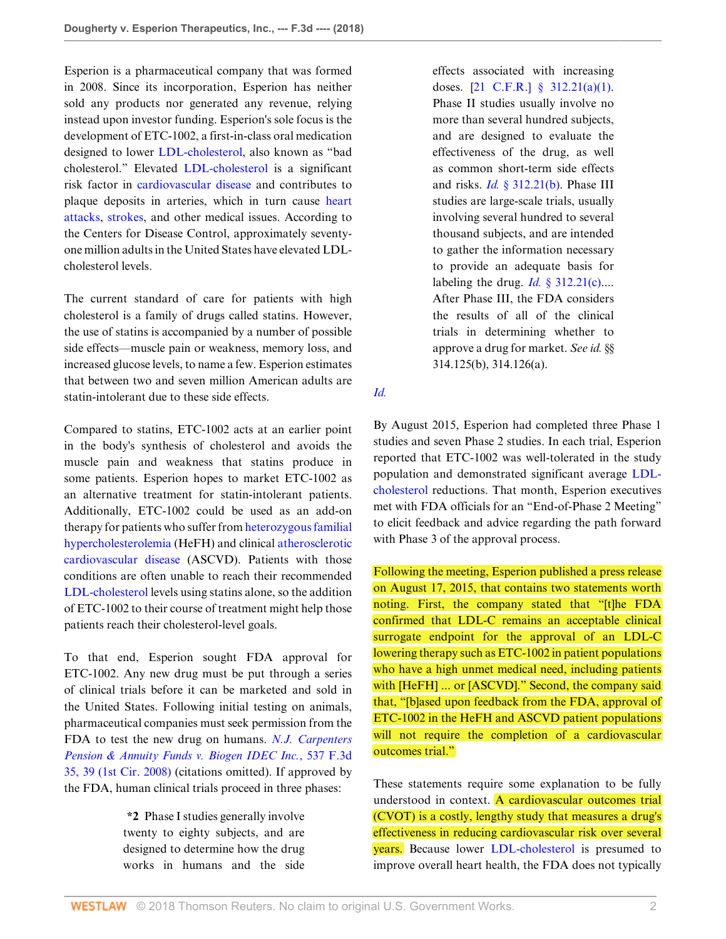Esperion is a pharmaceutical company that was formed in 2008. Since its incorporation, Esperion has neither sold any products nor generated any revenue, relying instead upon investor funding. Esperion's sole focus is the development of ETC-1002, a first-in-class oral medication designed to lower [LDL-cholesterol,](http://www.westlaw.com/Link/Document/FullText?entityType=mproc&entityId=Icb1f90fc475411db9765f9243f53508a&originationContext=document&transitionType=DocumentItem&contextData=(sc.Default)&vr=3.0&rs=cblt1.0) also known as "bad cholesterol." Elevated [LDL-cholesterol](http://www.westlaw.com/Link/Document/FullText?entityType=mproc&entityId=Icb1f90fc475411db9765f9243f53508a&originationContext=document&transitionType=DocumentItem&contextData=(sc.Default)&vr=3.0&rs=cblt1.0) is a significant risk factor in [cardiovascular disease](http://www.westlaw.com/Link/Document/FullText?entityType=disease&entityId=Ibd1c122b475411db9765f9243f53508a&originationContext=document&transitionType=DocumentItem&contextData=(sc.Default)&vr=3.0&rs=cblt1.0) and contributes to plaque deposits in arteries, which in turn cause [heart](http://www.westlaw.com/Link/Document/FullText?entityType=disease&entityId=Ib9c08b34475411db9765f9243f53508a&originationContext=document&transitionType=DocumentItem&contextData=(sc.Default)&vr=3.0&rs=cblt1.0) [attacks](http://www.westlaw.com/Link/Document/FullText?entityType=disease&entityId=Ib9c08b34475411db9765f9243f53508a&originationContext=document&transitionType=DocumentItem&contextData=(sc.Default)&vr=3.0&rs=cblt1.0), [strokes,](http://www.westlaw.com/Link/Document/FullText?entityType=disease&entityId=Iaa9b49b2475411db9765f9243f53508a&originationContext=document&transitionType=DocumentItem&contextData=(sc.Default)&vr=3.0&rs=cblt1.0) and other medical issues. According to the Centers for Disease Control, approximately seventyone million adults in the United States have elevated LDLcholesterol levels.

The current standard of care for patients with high cholesterol is a family of drugs called statins. However, the use of statins is accompanied by a number of possible side effects—muscle pain or weakness, memory loss, and increased glucose levels, to name a few. Esperion estimates that between two and seven million American adults are statin-intolerant due to these side effects.

Compared to statins, ETC-1002 acts at an earlier point in the body's synthesis of cholesterol and avoids the muscle pain and weakness that statins produce in some patients. Esperion hopes to market ETC-1002 as an alternative treatment for statin-intolerant patients. Additionally, ETC-1002 could be used as an add-on therapy for patients who suffer from [heterozygous familial](http://www.westlaw.com/Link/Document/FullText?entityType=disease&entityId=Ib351a9a2475411db9765f9243f53508a&originationContext=document&transitionType=DocumentItem&contextData=(sc.Default)&vr=3.0&rs=cblt1.0) [hypercholesterolemia](http://www.westlaw.com/Link/Document/FullText?entityType=disease&entityId=Ib351a9a2475411db9765f9243f53508a&originationContext=document&transitionType=DocumentItem&contextData=(sc.Default)&vr=3.0&rs=cblt1.0) (HeFH) and clinical [atherosclerotic](http://www.westlaw.com/Link/Document/FullText?entityType=disease&entityId=Ib080618a475411db9765f9243f53508a&originationContext=document&transitionType=DocumentItem&contextData=(sc.Default)&vr=3.0&rs=cblt1.0) [cardiovascular disease](http://www.westlaw.com/Link/Document/FullText?entityType=disease&entityId=Ib080618a475411db9765f9243f53508a&originationContext=document&transitionType=DocumentItem&contextData=(sc.Default)&vr=3.0&rs=cblt1.0) (ASCVD). Patients with those conditions are often unable to reach their recommended [LDL-cholesterol](http://www.westlaw.com/Link/Document/FullText?entityType=mproc&entityId=Icb1f90fc475411db9765f9243f53508a&originationContext=document&transitionType=DocumentItem&contextData=(sc.Default)&vr=3.0&rs=cblt1.0) levels using statins alone, so the addition of ETC-1002 to their course of treatment might help those patients reach their cholesterol-level goals.

To that end, Esperion sought FDA approval for ETC-1002. Any new drug must be put through a series of clinical trials before it can be marketed and sold in the United States. Following initial testing on animals, pharmaceutical companies must seek permission from the FDA to test the new drug on humans. *[N.J. Carpenters](http://www.westlaw.com/Link/Document/FullText?findType=Y&serNum=2016708777&pubNum=0000506&originatingDoc=If5ccff60c2b211e89a72e3efe6364bb2&refType=RP&fi=co_pp_sp_506_39&originationContext=document&vr=3.0&rs=cblt1.0&transitionType=DocumentItem&contextData=(sc.Search)#co_pp_sp_506_39) [Pension & Annuity Funds v. Biogen IDEC Inc.](http://www.westlaw.com/Link/Document/FullText?findType=Y&serNum=2016708777&pubNum=0000506&originatingDoc=If5ccff60c2b211e89a72e3efe6364bb2&refType=RP&fi=co_pp_sp_506_39&originationContext=document&vr=3.0&rs=cblt1.0&transitionType=DocumentItem&contextData=(sc.Search)#co_pp_sp_506_39)*, 537 F.3d [35, 39 \(1st Cir. 2008\)](http://www.westlaw.com/Link/Document/FullText?findType=Y&serNum=2016708777&pubNum=0000506&originatingDoc=If5ccff60c2b211e89a72e3efe6364bb2&refType=RP&fi=co_pp_sp_506_39&originationContext=document&vr=3.0&rs=cblt1.0&transitionType=DocumentItem&contextData=(sc.Search)#co_pp_sp_506_39) (citations omitted). If approved by the FDA, human clinical trials proceed in three phases:

> **\*2** Phase I studies generally involve twenty to eighty subjects, and are designed to determine how the drug works in humans and the side

effects associated with increasing doses. [[21 C.F.R.\] § 312.21\(a\)\(1\)](http://www.westlaw.com/Link/Document/FullText?findType=L&pubNum=1000547&cite=21CFRS312.21&originatingDoc=If5ccff60c2b211e89a72e3efe6364bb2&refType=LQ&originationContext=document&vr=3.0&rs=cblt1.0&transitionType=DocumentItem&contextData=(sc.Search)). Phase II studies usually involve no more than several hundred subjects, and are designed to evaluate the effectiveness of the drug, as well as common short-term side effects and risks. *Id.* [§ 312.21\(b\)](http://www.westlaw.com/Link/Document/FullText?findType=L&pubNum=1000547&cite=21CFRS312.21&originatingDoc=If5ccff60c2b211e89a72e3efe6364bb2&refType=SP&originationContext=document&vr=3.0&rs=cblt1.0&transitionType=DocumentItem&contextData=(sc.Search)#co_pp_a83b000018c76). Phase III studies are large-scale trials, usually involving several hundred to several thousand subjects, and are intended to gather the information necessary to provide an adequate basis for labeling the drug. *Id.*  $\S$  312.21(c)... After Phase III, the FDA considers the results of all of the clinical trials in determining whether to approve a drug for market. *See id.* §§ 314.125(b), 314.126(a).

*[Id.](http://www.westlaw.com/Link/Document/FullText?findType=Y&serNum=2016708777&pubNum=0000506&originatingDoc=If5ccff60c2b211e89a72e3efe6364bb2&refType=RP&originationContext=document&vr=3.0&rs=cblt1.0&transitionType=DocumentItem&contextData=(sc.Search))*

By August 2015, Esperion had completed three Phase 1 studies and seven Phase 2 studies. In each trial, Esperion reported that ETC-1002 was well-tolerated in the study population and demonstrated significant average [LDL](http://www.westlaw.com/Link/Document/FullText?entityType=mproc&entityId=Icb1f90fc475411db9765f9243f53508a&originationContext=document&transitionType=DocumentItem&contextData=(sc.Default)&vr=3.0&rs=cblt1.0)[cholesterol](http://www.westlaw.com/Link/Document/FullText?entityType=mproc&entityId=Icb1f90fc475411db9765f9243f53508a&originationContext=document&transitionType=DocumentItem&contextData=(sc.Default)&vr=3.0&rs=cblt1.0) reductions. That month, Esperion executives met with FDA officials for an "End-of-Phase 2 Meeting" to elicit feedback and advice regarding the path forward with Phase 3 of the approval process.

Following the meeting, Esperion published a press release on August 17, 2015, that contains two statements worth noting. First, the company stated that "[t]he FDA confirmed that LDL-C remains an acceptable clinical surrogate endpoint for the approval of an LDL-C lowering therapy such as ETC-1002 in patient populations who have a high unmet medical need, including patients with [HeFH] ... or [ASCVD]." Second, the company said that, "[b]ased upon feedback from the FDA, approval of ETC-1002 in the HeFH and ASCVD patient populations will not require the completion of a cardiovascular outcomes trial."

These statements require some explanation to be fully understood in context. A cardiovascular outcomes trial (CVOT) is a costly, lengthy study that measures a drug's effectiveness in reducing cardiovascular risk over several years. Because lower [LDL-cholesterol](http://www.westlaw.com/Link/Document/FullText?entityType=mproc&entityId=Icb1f90fc475411db9765f9243f53508a&originationContext=document&transitionType=DocumentItem&contextData=(sc.Default)&vr=3.0&rs=cblt1.0) is presumed to improve overall heart health, the FDA does not typically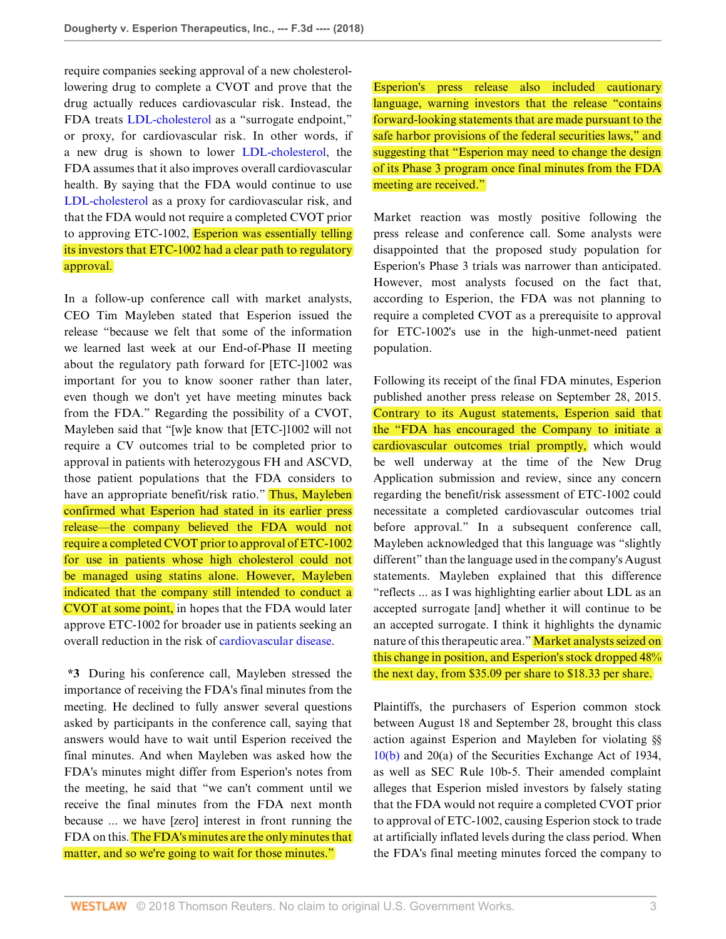require companies seeking approval of a new cholesterollowering drug to complete a CVOT and prove that the drug actually reduces cardiovascular risk. Instead, the FDA treats [LDL-cholesterol](http://www.westlaw.com/Link/Document/FullText?entityType=mproc&entityId=Icb1f90fc475411db9765f9243f53508a&originationContext=document&transitionType=DocumentItem&contextData=(sc.Default)&vr=3.0&rs=cblt1.0) as a "surrogate endpoint," or proxy, for cardiovascular risk. In other words, if a new drug is shown to lower [LDL-cholesterol](http://www.westlaw.com/Link/Document/FullText?entityType=mproc&entityId=Icb1f90fc475411db9765f9243f53508a&originationContext=document&transitionType=DocumentItem&contextData=(sc.Default)&vr=3.0&rs=cblt1.0), the FDA assumes that it also improves overall cardiovascular health. By saying that the FDA would continue to use [LDL-cholesterol](http://www.westlaw.com/Link/Document/FullText?entityType=mproc&entityId=Icb1f90fc475411db9765f9243f53508a&originationContext=document&transitionType=DocumentItem&contextData=(sc.Default)&vr=3.0&rs=cblt1.0) as a proxy for cardiovascular risk, and that the FDA would not require a completed CVOT prior to approving ETC-1002, **Esperion was essentially telling** its investors that ETC-1002 had a clear path to regulatory approval.

In a follow-up conference call with market analysts, CEO Tim Mayleben stated that Esperion issued the release "because we felt that some of the information we learned last week at our End-of-Phase II meeting about the regulatory path forward for [ETC-]1002 was important for you to know sooner rather than later, even though we don't yet have meeting minutes back from the FDA." Regarding the possibility of a CVOT, Mayleben said that "[w]e know that [ETC-]1002 will not require a CV outcomes trial to be completed prior to approval in patients with heterozygous FH and ASCVD, those patient populations that the FDA considers to have an appropriate benefit/risk ratio." Thus, Mayleben confirmed what Esperion had stated in its earlier press release—the company believed the FDA would not require a completed CVOT prior to approval of ETC-1002 for use in patients whose high cholesterol could not be managed using statins alone. However, Mayleben indicated that the company still intended to conduct a CVOT at some point, in hopes that the FDA would later approve ETC-1002 for broader use in patients seeking an overall reduction in the risk of [cardiovascular disease.](http://www.westlaw.com/Link/Document/FullText?entityType=disease&entityId=Ibd1c122b475411db9765f9243f53508a&originationContext=document&transitionType=DocumentItem&contextData=(sc.Default)&vr=3.0&rs=cblt1.0)

**\*3** During his conference call, Mayleben stressed the importance of receiving the FDA's final minutes from the meeting. He declined to fully answer several questions asked by participants in the conference call, saying that answers would have to wait until Esperion received the final minutes. And when Mayleben was asked how the FDA's minutes might differ from Esperion's notes from the meeting, he said that "we can't comment until we receive the final minutes from the FDA next month because ... we have [zero] interest in front running the FDA on this. The FDA's minutes are the only minutes that matter, and so we're going to wait for those minutes."

Esperion's press release also included cautionary language, warning investors that the release "contains" forward-looking statements that are made pursuant to the safe harbor provisions of the federal securities laws," and suggesting that "Esperion may need to change the design of its Phase 3 program once final minutes from the FDA meeting are received."

Market reaction was mostly positive following the press release and conference call. Some analysts were disappointed that the proposed study population for Esperion's Phase 3 trials was narrower than anticipated. However, most analysts focused on the fact that, according to Esperion, the FDA was not planning to require a completed CVOT as a prerequisite to approval for ETC-1002's use in the high-unmet-need patient population.

Following its receipt of the final FDA minutes, Esperion published another press release on September 28, 2015. Contrary to its August statements, Esperion said that the "FDA has encouraged the Company to initiate a cardiovascular outcomes trial promptly, which would be well underway at the time of the New Drug Application submission and review, since any concern regarding the benefit/risk assessment of ETC-1002 could necessitate a completed cardiovascular outcomes trial before approval." In a subsequent conference call, Mayleben acknowledged that this language was "slightly different" than the language used in the company's August statements. Mayleben explained that this difference "reflects ... as I was highlighting earlier about LDL as an accepted surrogate [and] whether it will continue to be an accepted surrogate. I think it highlights the dynamic nature of this therapeutic area." Market analysts seized on this change in position, and Esperion's stock dropped 48% the next day, from \$35.09 per share to \$18.33 per share.

Plaintiffs, the purchasers of Esperion common stock between August 18 and September 28, brought this class action against Esperion and Mayleben for violating §§ [10\(b\)](http://www.westlaw.com/Link/Document/FullText?findType=L&pubNum=1000546&cite=15USCAS78J&originatingDoc=If5ccff60c2b211e89a72e3efe6364bb2&refType=GA&originationContext=document&vr=3.0&rs=cblt1.0&transitionType=DocumentItem&contextData=(sc.Search)) and 20(a) of the Securities Exchange Act of 1934, as well as SEC Rule 10b-5. Their amended complaint alleges that Esperion misled investors by falsely stating that the FDA would not require a completed CVOT prior to approval of ETC-1002, causing Esperion stock to trade at artificially inflated levels during the class period. When the FDA's final meeting minutes forced the company to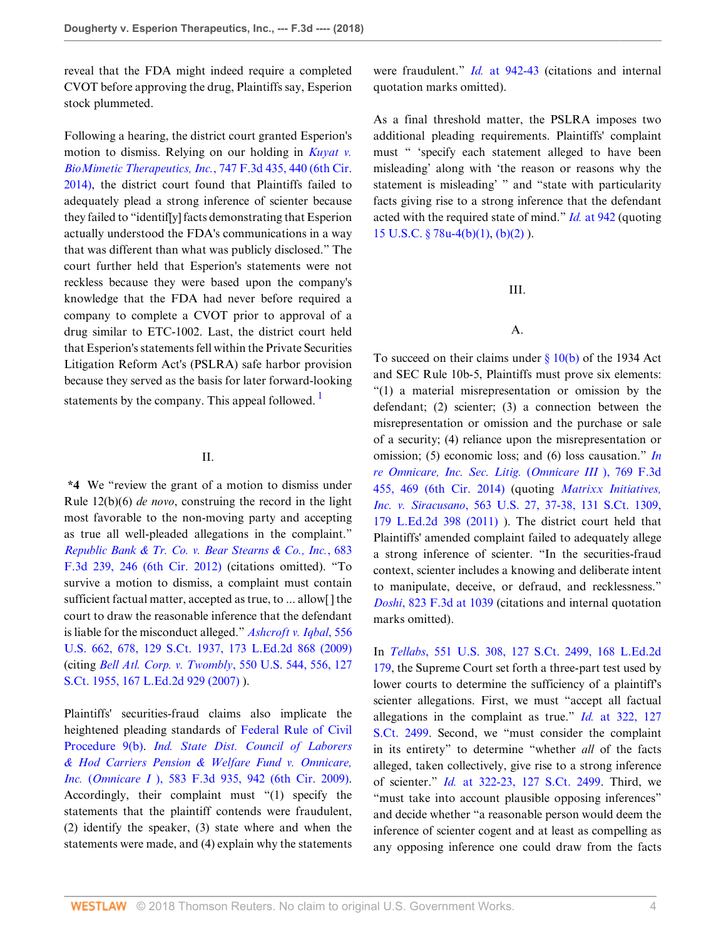reveal that the FDA might indeed require a completed CVOT before approving the drug, Plaintiffs say, Esperion stock plummeted.

Following a hearing, the district court granted Esperion's motion to dismiss. Relying on our holding in *[Kuyat v.](http://www.westlaw.com/Link/Document/FullText?findType=Y&serNum=2032983269&pubNum=0000506&originatingDoc=If5ccff60c2b211e89a72e3efe6364bb2&refType=RP&fi=co_pp_sp_506_440&originationContext=document&vr=3.0&rs=cblt1.0&transitionType=DocumentItem&contextData=(sc.Search)#co_pp_sp_506_440) [BioMimetic Therapeutics, Inc.](http://www.westlaw.com/Link/Document/FullText?findType=Y&serNum=2032983269&pubNum=0000506&originatingDoc=If5ccff60c2b211e89a72e3efe6364bb2&refType=RP&fi=co_pp_sp_506_440&originationContext=document&vr=3.0&rs=cblt1.0&transitionType=DocumentItem&contextData=(sc.Search)#co_pp_sp_506_440)*, 747 F.3d 435, 440 (6th Cir. [2014\)](http://www.westlaw.com/Link/Document/FullText?findType=Y&serNum=2032983269&pubNum=0000506&originatingDoc=If5ccff60c2b211e89a72e3efe6364bb2&refType=RP&fi=co_pp_sp_506_440&originationContext=document&vr=3.0&rs=cblt1.0&transitionType=DocumentItem&contextData=(sc.Search)#co_pp_sp_506_440), the district court found that Plaintiffs failed to adequately plead a strong inference of scienter because they failed to "identif[y] facts demonstrating that Esperion actually understood the FDA's communications in a way that was different than what was publicly disclosed." The court further held that Esperion's statements were not reckless because they were based upon the company's knowledge that the FDA had never before required a company to complete a CVOT prior to approval of a drug similar to ETC-1002. Last, the district court held that Esperion's statements fell within the Private Securities Litigation Reform Act's (PSLRA) safe harbor provision because they served as the basis for later forward-looking statements by the company. This appeal followed.  $\frac{1}{1}$  $\frac{1}{1}$  $\frac{1}{1}$ 

# II.

**\*4** We "review the grant of a motion to dismiss under Rule 12(b)(6) *de novo*, construing the record in the light most favorable to the non-moving party and accepting as true all well-pleaded allegations in the complaint." *[Republic Bank & Tr. Co. v. Bear Stearns & Co., Inc.](http://www.westlaw.com/Link/Document/FullText?findType=Y&serNum=2027935257&pubNum=0000506&originatingDoc=If5ccff60c2b211e89a72e3efe6364bb2&refType=RP&fi=co_pp_sp_506_246&originationContext=document&vr=3.0&rs=cblt1.0&transitionType=DocumentItem&contextData=(sc.Search)#co_pp_sp_506_246)*, 683 [F.3d 239, 246 \(6th Cir. 2012\)](http://www.westlaw.com/Link/Document/FullText?findType=Y&serNum=2027935257&pubNum=0000506&originatingDoc=If5ccff60c2b211e89a72e3efe6364bb2&refType=RP&fi=co_pp_sp_506_246&originationContext=document&vr=3.0&rs=cblt1.0&transitionType=DocumentItem&contextData=(sc.Search)#co_pp_sp_506_246) (citations omitted). "To survive a motion to dismiss, a complaint must contain sufficient factual matter, accepted as true, to ... allow[ ] the court to draw the reasonable inference that the defendant is liable for the misconduct alleged." *[Ashcroft v. Iqbal](http://www.westlaw.com/Link/Document/FullText?findType=Y&serNum=2018848474&pubNum=0000708&originatingDoc=If5ccff60c2b211e89a72e3efe6364bb2&refType=RP&originationContext=document&vr=3.0&rs=cblt1.0&transitionType=DocumentItem&contextData=(sc.Search))*, 556 [U.S. 662, 678, 129 S.Ct. 1937, 173 L.Ed.2d 868 \(2009\)](http://www.westlaw.com/Link/Document/FullText?findType=Y&serNum=2018848474&pubNum=0000708&originatingDoc=If5ccff60c2b211e89a72e3efe6364bb2&refType=RP&originationContext=document&vr=3.0&rs=cblt1.0&transitionType=DocumentItem&contextData=(sc.Search)) (citing *[Bell Atl. Corp. v. Twombly](http://www.westlaw.com/Link/Document/FullText?findType=Y&serNum=2012293296&pubNum=0000708&originatingDoc=If5ccff60c2b211e89a72e3efe6364bb2&refType=RP&originationContext=document&vr=3.0&rs=cblt1.0&transitionType=DocumentItem&contextData=(sc.Search))*, 550 U.S. 544, 556, 127 [S.Ct. 1955, 167 L.Ed.2d 929 \(2007\)](http://www.westlaw.com/Link/Document/FullText?findType=Y&serNum=2012293296&pubNum=0000708&originatingDoc=If5ccff60c2b211e89a72e3efe6364bb2&refType=RP&originationContext=document&vr=3.0&rs=cblt1.0&transitionType=DocumentItem&contextData=(sc.Search)) ).

Plaintiffs' securities-fraud claims also implicate the heightened pleading standards of [Federal Rule of Civil](http://www.westlaw.com/Link/Document/FullText?findType=L&pubNum=1000600&cite=USFRCPR9&originatingDoc=If5ccff60c2b211e89a72e3efe6364bb2&refType=LQ&originationContext=document&vr=3.0&rs=cblt1.0&transitionType=DocumentItem&contextData=(sc.Search)) [Procedure 9\(b\).](http://www.westlaw.com/Link/Document/FullText?findType=L&pubNum=1000600&cite=USFRCPR9&originatingDoc=If5ccff60c2b211e89a72e3efe6364bb2&refType=LQ&originationContext=document&vr=3.0&rs=cblt1.0&transitionType=DocumentItem&contextData=(sc.Search)) *[Ind. State Dist. Council of Laborers](http://www.westlaw.com/Link/Document/FullText?findType=Y&serNum=2020161167&pubNum=0000506&originatingDoc=If5ccff60c2b211e89a72e3efe6364bb2&refType=RP&fi=co_pp_sp_506_942&originationContext=document&vr=3.0&rs=cblt1.0&transitionType=DocumentItem&contextData=(sc.Search)#co_pp_sp_506_942) [& Hod Carriers Pension & Welfare Fund v. Omnicare,](http://www.westlaw.com/Link/Document/FullText?findType=Y&serNum=2020161167&pubNum=0000506&originatingDoc=If5ccff60c2b211e89a72e3efe6364bb2&refType=RP&fi=co_pp_sp_506_942&originationContext=document&vr=3.0&rs=cblt1.0&transitionType=DocumentItem&contextData=(sc.Search)#co_pp_sp_506_942) Inc.* (*Omnicare I* [\), 583 F.3d 935, 942 \(6th Cir. 2009\)](http://www.westlaw.com/Link/Document/FullText?findType=Y&serNum=2020161167&pubNum=0000506&originatingDoc=If5ccff60c2b211e89a72e3efe6364bb2&refType=RP&fi=co_pp_sp_506_942&originationContext=document&vr=3.0&rs=cblt1.0&transitionType=DocumentItem&contextData=(sc.Search)#co_pp_sp_506_942). Accordingly, their complaint must "(1) specify the statements that the plaintiff contends were fraudulent, (2) identify the speaker, (3) state where and when the statements were made, and (4) explain why the statements

were fraudulent." *Id.* [at 942-43](http://www.westlaw.com/Link/Document/FullText?findType=Y&serNum=2020161167&pubNum=0000506&originatingDoc=If5ccff60c2b211e89a72e3efe6364bb2&refType=RP&fi=co_pp_sp_506_942&originationContext=document&vr=3.0&rs=cblt1.0&transitionType=DocumentItem&contextData=(sc.Search)#co_pp_sp_506_942) (citations and internal quotation marks omitted).

As a final threshold matter, the PSLRA imposes two additional pleading requirements. Plaintiffs' complaint must " 'specify each statement alleged to have been misleading' along with 'the reason or reasons why the statement is misleading' " and "state with particularity facts giving rise to a strong inference that the defendant acted with the required state of mind." *Id.* [at 942](http://www.westlaw.com/Link/Document/FullText?findType=Y&serNum=2020161167&pubNum=0000506&originatingDoc=If5ccff60c2b211e89a72e3efe6364bb2&refType=RP&fi=co_pp_sp_506_942&originationContext=document&vr=3.0&rs=cblt1.0&transitionType=DocumentItem&contextData=(sc.Search)#co_pp_sp_506_942) (quoting [15 U.S.C. § 78u-4\(b\)\(1\)](http://www.westlaw.com/Link/Document/FullText?findType=L&pubNum=1000546&cite=15USCAS78U-4&originatingDoc=If5ccff60c2b211e89a72e3efe6364bb2&refType=RB&originationContext=document&vr=3.0&rs=cblt1.0&transitionType=DocumentItem&contextData=(sc.Search)#co_pp_3fed000053a85), [\(b\)\(2\)](http://www.westlaw.com/Link/Document/FullText?findType=L&pubNum=1000546&cite=15USCAS78U-4&originatingDoc=If5ccff60c2b211e89a72e3efe6364bb2&refType=RB&originationContext=document&vr=3.0&rs=cblt1.0&transitionType=DocumentItem&contextData=(sc.Search)#co_pp_c0ae00006c482) ).

## III.

## A.

<span id="page-3-0"></span>To succeed on their claims under  $\S 10(b)$  of the 1934 Act and SEC Rule 10b-5, Plaintiffs must prove six elements: "(1) a material misrepresentation or omission by the defendant; (2) scienter; (3) a connection between the misrepresentation or omission and the purchase or sale of a security; (4) reliance upon the misrepresentation or omission; (5) economic loss; and (6) loss causation." *[In](http://www.westlaw.com/Link/Document/FullText?findType=Y&serNum=2034571966&pubNum=0000506&originatingDoc=If5ccff60c2b211e89a72e3efe6364bb2&refType=RP&fi=co_pp_sp_506_469&originationContext=document&vr=3.0&rs=cblt1.0&transitionType=DocumentItem&contextData=(sc.Search)#co_pp_sp_506_469) [re Omnicare, Inc. Sec. Litig.](http://www.westlaw.com/Link/Document/FullText?findType=Y&serNum=2034571966&pubNum=0000506&originatingDoc=If5ccff60c2b211e89a72e3efe6364bb2&refType=RP&fi=co_pp_sp_506_469&originationContext=document&vr=3.0&rs=cblt1.0&transitionType=DocumentItem&contextData=(sc.Search)#co_pp_sp_506_469)* (*Omnicare III* ), 769 F.3d [455, 469 \(6th Cir. 2014\)](http://www.westlaw.com/Link/Document/FullText?findType=Y&serNum=2034571966&pubNum=0000506&originatingDoc=If5ccff60c2b211e89a72e3efe6364bb2&refType=RP&fi=co_pp_sp_506_469&originationContext=document&vr=3.0&rs=cblt1.0&transitionType=DocumentItem&contextData=(sc.Search)#co_pp_sp_506_469) (quoting *[Matrixx Initiatives,](http://www.westlaw.com/Link/Document/FullText?findType=Y&serNum=2024826834&pubNum=0000708&originatingDoc=If5ccff60c2b211e89a72e3efe6364bb2&refType=RP&originationContext=document&vr=3.0&rs=cblt1.0&transitionType=DocumentItem&contextData=(sc.Search)) Inc. v. Siracusano*[, 563 U.S. 27, 37-38, 131 S.Ct. 1309,](http://www.westlaw.com/Link/Document/FullText?findType=Y&serNum=2024826834&pubNum=0000708&originatingDoc=If5ccff60c2b211e89a72e3efe6364bb2&refType=RP&originationContext=document&vr=3.0&rs=cblt1.0&transitionType=DocumentItem&contextData=(sc.Search)) [179 L.Ed.2d 398 \(2011\)](http://www.westlaw.com/Link/Document/FullText?findType=Y&serNum=2024826834&pubNum=0000708&originatingDoc=If5ccff60c2b211e89a72e3efe6364bb2&refType=RP&originationContext=document&vr=3.0&rs=cblt1.0&transitionType=DocumentItem&contextData=(sc.Search)) ). The district court held that Plaintiffs' amended complaint failed to adequately allege a strong inference of scienter. "In the securities-fraud context, scienter includes a knowing and deliberate intent to manipulate, deceive, or defraud, and recklessness." *Doshi*[, 823 F.3d at 1039](http://www.westlaw.com/Link/Document/FullText?findType=Y&serNum=2038920033&pubNum=0000506&originatingDoc=If5ccff60c2b211e89a72e3efe6364bb2&refType=RP&fi=co_pp_sp_506_1039&originationContext=document&vr=3.0&rs=cblt1.0&transitionType=DocumentItem&contextData=(sc.Search)#co_pp_sp_506_1039) (citations and internal quotation marks omitted).

In *Tellabs*[, 551 U.S. 308, 127 S.Ct. 2499, 168 L.Ed.2d](http://www.westlaw.com/Link/Document/FullText?findType=Y&serNum=2012518448&pubNum=0000708&originatingDoc=If5ccff60c2b211e89a72e3efe6364bb2&refType=RP&originationContext=document&vr=3.0&rs=cblt1.0&transitionType=DocumentItem&contextData=(sc.Search)) [179](http://www.westlaw.com/Link/Document/FullText?findType=Y&serNum=2012518448&pubNum=0000708&originatingDoc=If5ccff60c2b211e89a72e3efe6364bb2&refType=RP&originationContext=document&vr=3.0&rs=cblt1.0&transitionType=DocumentItem&contextData=(sc.Search)), the Supreme Court set forth a three-part test used by lower courts to determine the sufficiency of a plaintiff's scienter allegations. First, we must "accept all factual allegations in the complaint as true." *Id.* [at 322, 127](http://www.westlaw.com/Link/Document/FullText?findType=Y&serNum=2012518448&pubNum=0000708&originatingDoc=If5ccff60c2b211e89a72e3efe6364bb2&refType=RP&originationContext=document&vr=3.0&rs=cblt1.0&transitionType=DocumentItem&contextData=(sc.Search)) [S.Ct. 2499.](http://www.westlaw.com/Link/Document/FullText?findType=Y&serNum=2012518448&pubNum=0000708&originatingDoc=If5ccff60c2b211e89a72e3efe6364bb2&refType=RP&originationContext=document&vr=3.0&rs=cblt1.0&transitionType=DocumentItem&contextData=(sc.Search)) Second, we "must consider the complaint in its entirety" to determine "whether *all* of the facts alleged, taken collectively, give rise to a strong inference of scienter." *Id.* [at 322-23, 127 S.Ct. 2499.](http://www.westlaw.com/Link/Document/FullText?findType=Y&serNum=2012518448&pubNum=0000708&originatingDoc=If5ccff60c2b211e89a72e3efe6364bb2&refType=RP&originationContext=document&vr=3.0&rs=cblt1.0&transitionType=DocumentItem&contextData=(sc.Search)) Third, we "must take into account plausible opposing inferences" and decide whether "a reasonable person would deem the inference of scienter cogent and at least as compelling as any opposing inference one could draw from the facts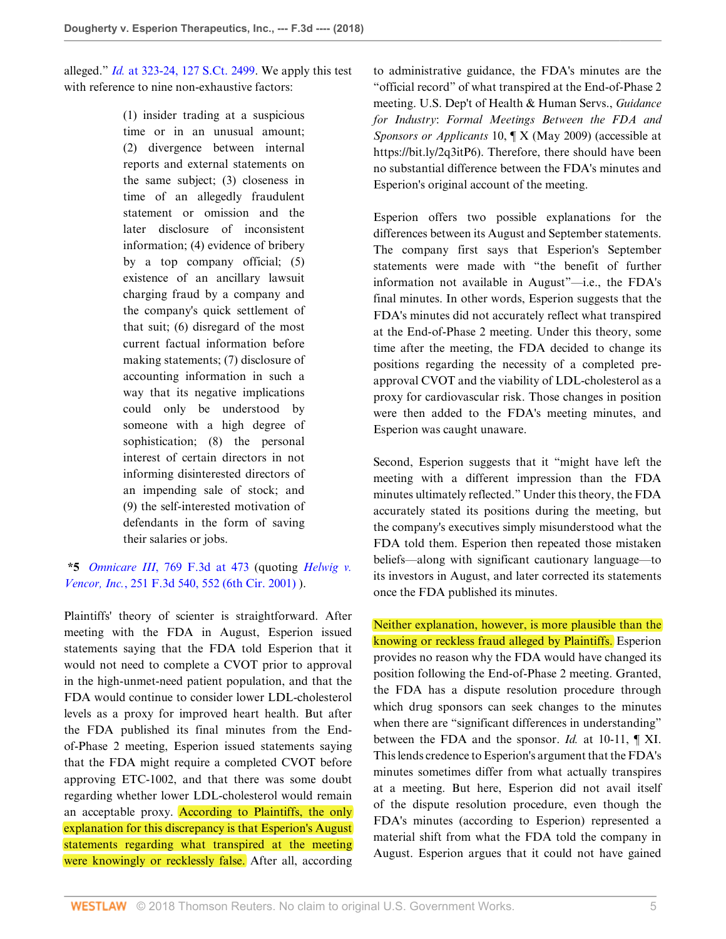alleged." *Id.* [at 323-24, 127 S.Ct. 2499](http://www.westlaw.com/Link/Document/FullText?findType=Y&serNum=2012518448&pubNum=0000708&originatingDoc=If5ccff60c2b211e89a72e3efe6364bb2&refType=RP&originationContext=document&vr=3.0&rs=cblt1.0&transitionType=DocumentItem&contextData=(sc.Search)). We apply this test with reference to nine non-exhaustive factors:

> (1) insider trading at a suspicious time or in an unusual amount; (2) divergence between internal reports and external statements on the same subject; (3) closeness in time of an allegedly fraudulent statement or omission and the later disclosure of inconsistent information; (4) evidence of bribery by a top company official; (5) existence of an ancillary lawsuit charging fraud by a company and the company's quick settlement of that suit; (6) disregard of the most current factual information before making statements; (7) disclosure of accounting information in such a way that its negative implications could only be understood by someone with a high degree of sophistication; (8) the personal interest of certain directors in not informing disinterested directors of an impending sale of stock; and (9) the self-interested motivation of defendants in the form of saving their salaries or jobs.

# **\*5** *Omnicare III*[, 769 F.3d at 473](http://www.westlaw.com/Link/Document/FullText?findType=Y&serNum=2034571966&pubNum=0000506&originatingDoc=If5ccff60c2b211e89a72e3efe6364bb2&refType=RP&fi=co_pp_sp_506_473&originationContext=document&vr=3.0&rs=cblt1.0&transitionType=DocumentItem&contextData=(sc.Search)#co_pp_sp_506_473) (quoting *[Helwig v.](http://www.westlaw.com/Link/Document/FullText?findType=Y&serNum=2001454808&pubNum=0000506&originatingDoc=If5ccff60c2b211e89a72e3efe6364bb2&refType=RP&fi=co_pp_sp_506_552&originationContext=document&vr=3.0&rs=cblt1.0&transitionType=DocumentItem&contextData=(sc.Search)#co_pp_sp_506_552) Vencor, Inc.*[, 251 F.3d 540, 552 \(6th Cir. 2001\)](http://www.westlaw.com/Link/Document/FullText?findType=Y&serNum=2001454808&pubNum=0000506&originatingDoc=If5ccff60c2b211e89a72e3efe6364bb2&refType=RP&fi=co_pp_sp_506_552&originationContext=document&vr=3.0&rs=cblt1.0&transitionType=DocumentItem&contextData=(sc.Search)#co_pp_sp_506_552) ).

Plaintiffs' theory of scienter is straightforward. After meeting with the FDA in August, Esperion issued statements saying that the FDA told Esperion that it would not need to complete a CVOT prior to approval in the high-unmet-need patient population, and that the FDA would continue to consider lower LDL-cholesterol levels as a proxy for improved heart health. But after the FDA published its final minutes from the Endof-Phase 2 meeting, Esperion issued statements saying that the FDA might require a completed CVOT before approving ETC-1002, and that there was some doubt regarding whether lower LDL-cholesterol would remain an acceptable proxy. According to Plaintiffs, the only explanation for this discrepancy is that Esperion's August statements regarding what transpired at the meeting were knowingly or recklessly false. After all, according

to administrative guidance, the FDA's minutes are the "official record" of what transpired at the End-of-Phase 2 meeting. U.S. Dep't of Health & Human Servs., *Guidance for Industry*: *Formal Meetings Between the FDA and Sponsors or Applicants* 10, ¶ X (May 2009) (accessible at https://bit.ly/2q3itP6). Therefore, there should have been no substantial difference between the FDA's minutes and Esperion's original account of the meeting.

Esperion offers two possible explanations for the differences between its August and September statements. The company first says that Esperion's September statements were made with "the benefit of further information not available in August"—i.e., the FDA's final minutes. In other words, Esperion suggests that the FDA's minutes did not accurately reflect what transpired at the End-of-Phase 2 meeting. Under this theory, some time after the meeting, the FDA decided to change its positions regarding the necessity of a completed preapproval CVOT and the viability of LDL-cholesterol as a proxy for cardiovascular risk. Those changes in position were then added to the FDA's meeting minutes, and Esperion was caught unaware.

Second, Esperion suggests that it "might have left the meeting with a different impression than the FDA minutes ultimately reflected." Under this theory, the FDA accurately stated its positions during the meeting, but the company's executives simply misunderstood what the FDA told them. Esperion then repeated those mistaken beliefs—along with significant cautionary language—to its investors in August, and later corrected its statements once the FDA published its minutes.

Neither explanation, however, is more plausible than the knowing or reckless fraud alleged by Plaintiffs. Esperion provides no reason why the FDA would have changed its position following the End-of-Phase 2 meeting. Granted, the FDA has a dispute resolution procedure through which drug sponsors can seek changes to the minutes when there are "significant differences in understanding" between the FDA and the sponsor. *Id.* at 10-11, ¶ XI. This lends credence to Esperion's argument that the FDA's minutes sometimes differ from what actually transpires at a meeting. But here, Esperion did not avail itself of the dispute resolution procedure, even though the FDA's minutes (according to Esperion) represented a material shift from what the FDA told the company in August. Esperion argues that it could not have gained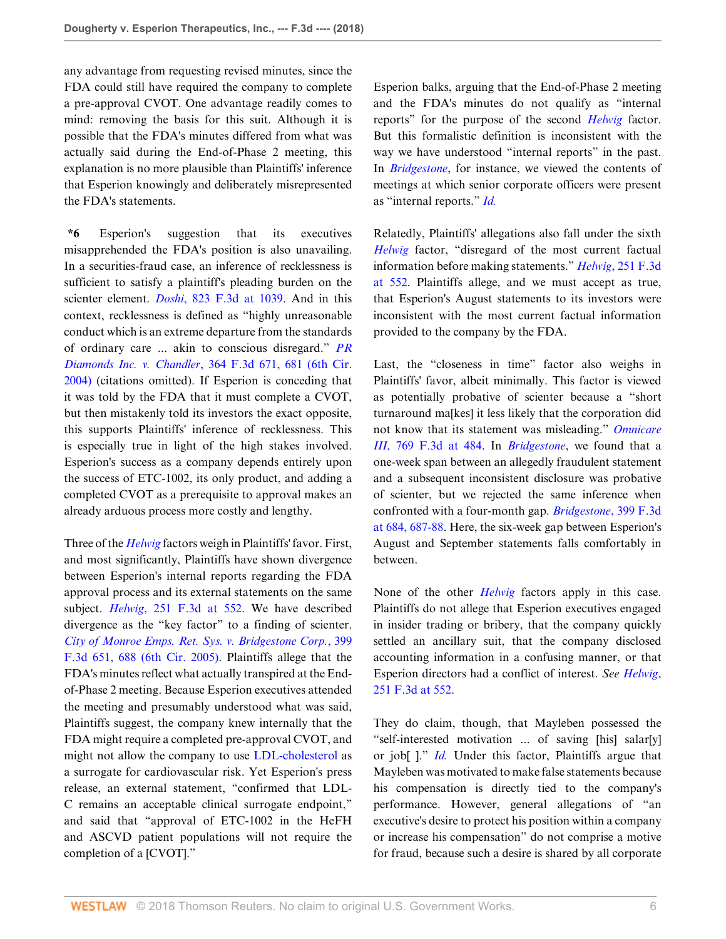any advantage from requesting revised minutes, since the FDA could still have required the company to complete a pre-approval CVOT. One advantage readily comes to mind: removing the basis for this suit. Although it is possible that the FDA's minutes differed from what was actually said during the End-of-Phase 2 meeting, this explanation is no more plausible than Plaintiffs' inference that Esperion knowingly and deliberately misrepresented the FDA's statements.

**\*6** Esperion's suggestion that its executives misapprehended the FDA's position is also unavailing. In a securities-fraud case, an inference of recklessness is sufficient to satisfy a plaintiff's pleading burden on the scienter element. *Doshi*[, 823 F.3d at 1039.](http://www.westlaw.com/Link/Document/FullText?findType=Y&serNum=2038920033&pubNum=0000506&originatingDoc=If5ccff60c2b211e89a72e3efe6364bb2&refType=RP&fi=co_pp_sp_506_1039&originationContext=document&vr=3.0&rs=cblt1.0&transitionType=DocumentItem&contextData=(sc.Search)#co_pp_sp_506_1039) And in this context, recklessness is defined as "highly unreasonable conduct which is an extreme departure from the standards of ordinary care ... akin to conscious disregard." *[PR](http://www.westlaw.com/Link/Document/FullText?findType=Y&serNum=2004349872&pubNum=0000506&originatingDoc=If5ccff60c2b211e89a72e3efe6364bb2&refType=RP&fi=co_pp_sp_506_681&originationContext=document&vr=3.0&rs=cblt1.0&transitionType=DocumentItem&contextData=(sc.Search)#co_pp_sp_506_681) Diamonds Inc. v. Chandler*[, 364 F.3d 671, 681 \(6th Cir.](http://www.westlaw.com/Link/Document/FullText?findType=Y&serNum=2004349872&pubNum=0000506&originatingDoc=If5ccff60c2b211e89a72e3efe6364bb2&refType=RP&fi=co_pp_sp_506_681&originationContext=document&vr=3.0&rs=cblt1.0&transitionType=DocumentItem&contextData=(sc.Search)#co_pp_sp_506_681) [2004\)](http://www.westlaw.com/Link/Document/FullText?findType=Y&serNum=2004349872&pubNum=0000506&originatingDoc=If5ccff60c2b211e89a72e3efe6364bb2&refType=RP&fi=co_pp_sp_506_681&originationContext=document&vr=3.0&rs=cblt1.0&transitionType=DocumentItem&contextData=(sc.Search)#co_pp_sp_506_681) (citations omitted). If Esperion is conceding that it was told by the FDA that it must complete a CVOT, but then mistakenly told its investors the exact opposite, this supports Plaintiffs' inference of recklessness. This is especially true in light of the high stakes involved. Esperion's success as a company depends entirely upon the success of ETC-1002, its only product, and adding a completed CVOT as a prerequisite to approval makes an already arduous process more costly and lengthy.

Three of the *[Helwig](http://www.westlaw.com/Link/Document/FullText?findType=Y&serNum=2001454808&pubNum=0000506&originatingDoc=If5ccff60c2b211e89a72e3efe6364bb2&refType=RP&originationContext=document&vr=3.0&rs=cblt1.0&transitionType=DocumentItem&contextData=(sc.Search))* factors weigh in Plaintiffs' favor. First, and most significantly, Plaintiffs have shown divergence between Esperion's internal reports regarding the FDA approval process and its external statements on the same subject. *Helwig*[, 251 F.3d at 552.](http://www.westlaw.com/Link/Document/FullText?findType=Y&serNum=2001454808&pubNum=0000506&originatingDoc=If5ccff60c2b211e89a72e3efe6364bb2&refType=RP&fi=co_pp_sp_506_552&originationContext=document&vr=3.0&rs=cblt1.0&transitionType=DocumentItem&contextData=(sc.Search)#co_pp_sp_506_552) We have described divergence as the "key factor" to a finding of scienter. *[City of Monroe Emps. Ret. Sys. v. Bridgestone Corp.](http://www.westlaw.com/Link/Document/FullText?findType=Y&serNum=2006184445&pubNum=0000506&originatingDoc=If5ccff60c2b211e89a72e3efe6364bb2&refType=RP&fi=co_pp_sp_506_688&originationContext=document&vr=3.0&rs=cblt1.0&transitionType=DocumentItem&contextData=(sc.Search)#co_pp_sp_506_688)*, 399 [F.3d 651, 688 \(6th Cir. 2005\)](http://www.westlaw.com/Link/Document/FullText?findType=Y&serNum=2006184445&pubNum=0000506&originatingDoc=If5ccff60c2b211e89a72e3efe6364bb2&refType=RP&fi=co_pp_sp_506_688&originationContext=document&vr=3.0&rs=cblt1.0&transitionType=DocumentItem&contextData=(sc.Search)#co_pp_sp_506_688). Plaintiffs allege that the FDA's minutes reflect what actually transpired at the Endof-Phase 2 meeting. Because Esperion executives attended the meeting and presumably understood what was said, Plaintiffs suggest, the company knew internally that the FDA might require a completed pre-approval CVOT, and might not allow the company to use [LDL-cholesterol](http://www.westlaw.com/Link/Document/FullText?entityType=mproc&entityId=Icb1f90fc475411db9765f9243f53508a&originationContext=document&transitionType=DocumentItem&contextData=(sc.Default)&vr=3.0&rs=cblt1.0) as a surrogate for cardiovascular risk. Yet Esperion's press release, an external statement, "confirmed that LDL-C remains an acceptable clinical surrogate endpoint," and said that "approval of ETC-1002 in the HeFH and ASCVD patient populations will not require the completion of a [CVOT]."

Esperion balks, arguing that the End-of-Phase 2 meeting and the FDA's minutes do not qualify as "internal reports" for the purpose of the second *[Helwig](http://www.westlaw.com/Link/Document/FullText?findType=Y&serNum=2001454808&pubNum=0000506&originatingDoc=If5ccff60c2b211e89a72e3efe6364bb2&refType=RP&originationContext=document&vr=3.0&rs=cblt1.0&transitionType=DocumentItem&contextData=(sc.Search))* factor. But this formalistic definition is inconsistent with the way we have understood "internal reports" in the past. In *[Bridgestone](http://www.westlaw.com/Link/Document/FullText?findType=Y&serNum=2006184445&pubNum=0000506&originatingDoc=If5ccff60c2b211e89a72e3efe6364bb2&refType=RP&originationContext=document&vr=3.0&rs=cblt1.0&transitionType=DocumentItem&contextData=(sc.Search))*, for instance, we viewed the contents of meetings at which senior corporate officers were present as "internal reports." *[Id.](http://www.westlaw.com/Link/Document/FullText?findType=Y&serNum=2006184445&pubNum=0000506&originatingDoc=If5ccff60c2b211e89a72e3efe6364bb2&refType=RP&originationContext=document&vr=3.0&rs=cblt1.0&transitionType=DocumentItem&contextData=(sc.Search))*

Relatedly, Plaintiffs' allegations also fall under the sixth *[Helwig](http://www.westlaw.com/Link/Document/FullText?findType=Y&serNum=2001454808&pubNum=0000506&originatingDoc=If5ccff60c2b211e89a72e3efe6364bb2&refType=RP&originationContext=document&vr=3.0&rs=cblt1.0&transitionType=DocumentItem&contextData=(sc.Search))* factor, "disregard of the most current factual information before making statements." *Helwig*[, 251 F.3d](http://www.westlaw.com/Link/Document/FullText?findType=Y&serNum=2001454808&pubNum=0000506&originatingDoc=If5ccff60c2b211e89a72e3efe6364bb2&refType=RP&fi=co_pp_sp_506_552&originationContext=document&vr=3.0&rs=cblt1.0&transitionType=DocumentItem&contextData=(sc.Search)#co_pp_sp_506_552) [at 552.](http://www.westlaw.com/Link/Document/FullText?findType=Y&serNum=2001454808&pubNum=0000506&originatingDoc=If5ccff60c2b211e89a72e3efe6364bb2&refType=RP&fi=co_pp_sp_506_552&originationContext=document&vr=3.0&rs=cblt1.0&transitionType=DocumentItem&contextData=(sc.Search)#co_pp_sp_506_552) Plaintiffs allege, and we must accept as true, that Esperion's August statements to its investors were inconsistent with the most current factual information provided to the company by the FDA.

Last, the "closeness in time" factor also weighs in Plaintiffs' favor, albeit minimally. This factor is viewed as potentially probative of scienter because a "short turnaround ma[kes] it less likely that the corporation did not know that its statement was misleading." *[Omnicare](http://www.westlaw.com/Link/Document/FullText?findType=Y&serNum=2034571966&pubNum=0000506&originatingDoc=If5ccff60c2b211e89a72e3efe6364bb2&refType=RP&fi=co_pp_sp_506_484&originationContext=document&vr=3.0&rs=cblt1.0&transitionType=DocumentItem&contextData=(sc.Search)#co_pp_sp_506_484) III*[, 769 F.3d at 484](http://www.westlaw.com/Link/Document/FullText?findType=Y&serNum=2034571966&pubNum=0000506&originatingDoc=If5ccff60c2b211e89a72e3efe6364bb2&refType=RP&fi=co_pp_sp_506_484&originationContext=document&vr=3.0&rs=cblt1.0&transitionType=DocumentItem&contextData=(sc.Search)#co_pp_sp_506_484). In *[Bridgestone](http://www.westlaw.com/Link/Document/FullText?findType=Y&serNum=2006184445&pubNum=0000506&originatingDoc=If5ccff60c2b211e89a72e3efe6364bb2&refType=RP&originationContext=document&vr=3.0&rs=cblt1.0&transitionType=DocumentItem&contextData=(sc.Search))*, we found that a one-week span between an allegedly fraudulent statement and a subsequent inconsistent disclosure was probative of scienter, but we rejected the same inference when confronted with a four-month gap. *[Bridgestone](http://www.westlaw.com/Link/Document/FullText?findType=Y&serNum=2006184445&pubNum=0000506&originatingDoc=If5ccff60c2b211e89a72e3efe6364bb2&refType=RP&fi=co_pp_sp_506_684&originationContext=document&vr=3.0&rs=cblt1.0&transitionType=DocumentItem&contextData=(sc.Search)#co_pp_sp_506_684)*, 399 F.3d [at 684, 687-88](http://www.westlaw.com/Link/Document/FullText?findType=Y&serNum=2006184445&pubNum=0000506&originatingDoc=If5ccff60c2b211e89a72e3efe6364bb2&refType=RP&fi=co_pp_sp_506_684&originationContext=document&vr=3.0&rs=cblt1.0&transitionType=DocumentItem&contextData=(sc.Search)#co_pp_sp_506_684). Here, the six-week gap between Esperion's August and September statements falls comfortably in between.

None of the other *[Helwig](http://www.westlaw.com/Link/Document/FullText?findType=Y&serNum=2001454808&pubNum=0000506&originatingDoc=If5ccff60c2b211e89a72e3efe6364bb2&refType=RP&originationContext=document&vr=3.0&rs=cblt1.0&transitionType=DocumentItem&contextData=(sc.Search))* factors apply in this case. Plaintiffs do not allege that Esperion executives engaged in insider trading or bribery, that the company quickly settled an ancillary suit, that the company disclosed accounting information in a confusing manner, or that Esperion directors had a conflict of interest. *See [Helwig](http://www.westlaw.com/Link/Document/FullText?findType=Y&serNum=2001454808&pubNum=0000506&originatingDoc=If5ccff60c2b211e89a72e3efe6364bb2&refType=RP&fi=co_pp_sp_506_552&originationContext=document&vr=3.0&rs=cblt1.0&transitionType=DocumentItem&contextData=(sc.Search)#co_pp_sp_506_552)*, [251 F.3d at 552.](http://www.westlaw.com/Link/Document/FullText?findType=Y&serNum=2001454808&pubNum=0000506&originatingDoc=If5ccff60c2b211e89a72e3efe6364bb2&refType=RP&fi=co_pp_sp_506_552&originationContext=document&vr=3.0&rs=cblt1.0&transitionType=DocumentItem&contextData=(sc.Search)#co_pp_sp_506_552)

They do claim, though, that Mayleben possessed the "self-interested motivation ... of saving [his] salar[y] or job[ ]." *[Id.](http://www.westlaw.com/Link/Document/FullText?findType=Y&serNum=2001454808&pubNum=0000506&originatingDoc=If5ccff60c2b211e89a72e3efe6364bb2&refType=RP&originationContext=document&vr=3.0&rs=cblt1.0&transitionType=DocumentItem&contextData=(sc.Search))* Under this factor, Plaintiffs argue that Mayleben was motivated to make false statements because his compensation is directly tied to the company's performance. However, general allegations of "an executive's desire to protect his position within a company or increase his compensation" do not comprise a motive for fraud, because such a desire is shared by all corporate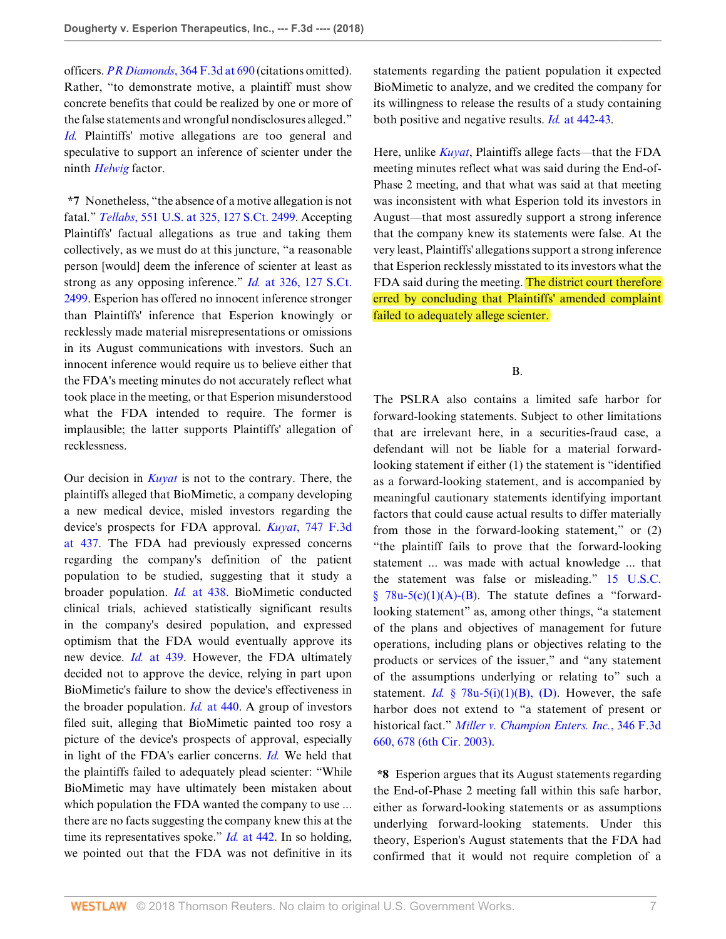officers. *PR Diamonds*[, 364 F.3d at 690](http://www.westlaw.com/Link/Document/FullText?findType=Y&serNum=2004349872&pubNum=0000506&originatingDoc=If5ccff60c2b211e89a72e3efe6364bb2&refType=RP&fi=co_pp_sp_506_690&originationContext=document&vr=3.0&rs=cblt1.0&transitionType=DocumentItem&contextData=(sc.Search)#co_pp_sp_506_690) (citations omitted). Rather, "to demonstrate motive, a plaintiff must show concrete benefits that could be realized by one or more of the false statements and wrongful nondisclosures alleged." *[Id.](http://www.westlaw.com/Link/Document/FullText?findType=Y&serNum=2004349872&pubNum=0000506&originatingDoc=If5ccff60c2b211e89a72e3efe6364bb2&refType=RP&originationContext=document&vr=3.0&rs=cblt1.0&transitionType=DocumentItem&contextData=(sc.Search))* Plaintiffs' motive allegations are too general and speculative to support an inference of scienter under the ninth *[Helwig](http://www.westlaw.com/Link/Document/FullText?findType=Y&serNum=2001454808&pubNum=0000506&originatingDoc=If5ccff60c2b211e89a72e3efe6364bb2&refType=RP&originationContext=document&vr=3.0&rs=cblt1.0&transitionType=DocumentItem&contextData=(sc.Search))* factor.

**\*7** Nonetheless, "the absence of a motive allegation is not fatal." *Tellabs*[, 551 U.S. at 325, 127 S.Ct. 2499](http://www.westlaw.com/Link/Document/FullText?findType=Y&serNum=2012518448&pubNum=0000708&originatingDoc=If5ccff60c2b211e89a72e3efe6364bb2&refType=RP&originationContext=document&vr=3.0&rs=cblt1.0&transitionType=DocumentItem&contextData=(sc.Search)). Accepting Plaintiffs' factual allegations as true and taking them collectively, as we must do at this juncture, "a reasonable person [would] deem the inference of scienter at least as strong as any opposing inference." *Id.* [at 326, 127 S.Ct.](http://www.westlaw.com/Link/Document/FullText?findType=Y&serNum=2012518448&pubNum=0000708&originatingDoc=If5ccff60c2b211e89a72e3efe6364bb2&refType=RP&originationContext=document&vr=3.0&rs=cblt1.0&transitionType=DocumentItem&contextData=(sc.Search)) [2499](http://www.westlaw.com/Link/Document/FullText?findType=Y&serNum=2012518448&pubNum=0000708&originatingDoc=If5ccff60c2b211e89a72e3efe6364bb2&refType=RP&originationContext=document&vr=3.0&rs=cblt1.0&transitionType=DocumentItem&contextData=(sc.Search)). Esperion has offered no innocent inference stronger than Plaintiffs' inference that Esperion knowingly or recklessly made material misrepresentations or omissions in its August communications with investors. Such an innocent inference would require us to believe either that the FDA's meeting minutes do not accurately reflect what took place in the meeting, or that Esperion misunderstood what the FDA intended to require. The former is implausible; the latter supports Plaintiffs' allegation of recklessness.

Our decision in *[Kuyat](http://www.westlaw.com/Link/Document/FullText?findType=Y&serNum=2032983269&pubNum=0000506&originatingDoc=If5ccff60c2b211e89a72e3efe6364bb2&refType=RP&originationContext=document&vr=3.0&rs=cblt1.0&transitionType=DocumentItem&contextData=(sc.Search))* is not to the contrary. There, the plaintiffs alleged that BioMimetic, a company developing a new medical device, misled investors regarding the device's prospects for FDA approval. *Kuyat*[, 747 F.3d](http://www.westlaw.com/Link/Document/FullText?findType=Y&serNum=2032983269&pubNum=0000506&originatingDoc=If5ccff60c2b211e89a72e3efe6364bb2&refType=RP&fi=co_pp_sp_506_437&originationContext=document&vr=3.0&rs=cblt1.0&transitionType=DocumentItem&contextData=(sc.Search)#co_pp_sp_506_437) [at 437.](http://www.westlaw.com/Link/Document/FullText?findType=Y&serNum=2032983269&pubNum=0000506&originatingDoc=If5ccff60c2b211e89a72e3efe6364bb2&refType=RP&fi=co_pp_sp_506_437&originationContext=document&vr=3.0&rs=cblt1.0&transitionType=DocumentItem&contextData=(sc.Search)#co_pp_sp_506_437) The FDA had previously expressed concerns regarding the company's definition of the patient population to be studied, suggesting that it study a broader population. *Id.* [at 438](http://www.westlaw.com/Link/Document/FullText?findType=Y&serNum=2032983269&pubNum=0000506&originatingDoc=If5ccff60c2b211e89a72e3efe6364bb2&refType=RP&fi=co_pp_sp_506_438&originationContext=document&vr=3.0&rs=cblt1.0&transitionType=DocumentItem&contextData=(sc.Search)#co_pp_sp_506_438). BioMimetic conducted clinical trials, achieved statistically significant results in the company's desired population, and expressed optimism that the FDA would eventually approve its new device. *Id.* [at 439.](http://www.westlaw.com/Link/Document/FullText?findType=Y&serNum=2032983269&pubNum=0000506&originatingDoc=If5ccff60c2b211e89a72e3efe6364bb2&refType=RP&fi=co_pp_sp_506_439&originationContext=document&vr=3.0&rs=cblt1.0&transitionType=DocumentItem&contextData=(sc.Search)#co_pp_sp_506_439) However, the FDA ultimately decided not to approve the device, relying in part upon BioMimetic's failure to show the device's effectiveness in the broader population. *Id.* [at 440](http://www.westlaw.com/Link/Document/FullText?findType=Y&serNum=2032983269&pubNum=0000506&originatingDoc=If5ccff60c2b211e89a72e3efe6364bb2&refType=RP&fi=co_pp_sp_506_440&originationContext=document&vr=3.0&rs=cblt1.0&transitionType=DocumentItem&contextData=(sc.Search)#co_pp_sp_506_440). A group of investors filed suit, alleging that BioMimetic painted too rosy a picture of the device's prospects of approval, especially in light of the FDA's earlier concerns. *[Id.](http://www.westlaw.com/Link/Document/FullText?findType=Y&serNum=2032983269&pubNum=0000506&originatingDoc=If5ccff60c2b211e89a72e3efe6364bb2&refType=RP&originationContext=document&vr=3.0&rs=cblt1.0&transitionType=DocumentItem&contextData=(sc.Search))* We held that the plaintiffs failed to adequately plead scienter: "While BioMimetic may have ultimately been mistaken about which population the FDA wanted the company to use ... there are no facts suggesting the company knew this at the time its representatives spoke." *Id.* [at 442](http://www.westlaw.com/Link/Document/FullText?findType=Y&serNum=2032983269&pubNum=0000506&originatingDoc=If5ccff60c2b211e89a72e3efe6364bb2&refType=RP&fi=co_pp_sp_506_442&originationContext=document&vr=3.0&rs=cblt1.0&transitionType=DocumentItem&contextData=(sc.Search)#co_pp_sp_506_442). In so holding, we pointed out that the FDA was not definitive in its

statements regarding the patient population it expected BioMimetic to analyze, and we credited the company for its willingness to release the results of a study containing both positive and negative results. *Id.* [at 442-43](http://www.westlaw.com/Link/Document/FullText?findType=Y&serNum=2032983269&pubNum=0000506&originatingDoc=If5ccff60c2b211e89a72e3efe6364bb2&refType=RP&fi=co_pp_sp_506_442&originationContext=document&vr=3.0&rs=cblt1.0&transitionType=DocumentItem&contextData=(sc.Search)#co_pp_sp_506_442).

Here, unlike *[Kuyat](http://www.westlaw.com/Link/Document/FullText?findType=Y&serNum=2032983269&pubNum=0000506&originatingDoc=If5ccff60c2b211e89a72e3efe6364bb2&refType=RP&originationContext=document&vr=3.0&rs=cblt1.0&transitionType=DocumentItem&contextData=(sc.Search))*, Plaintiffs allege facts—that the FDA meeting minutes reflect what was said during the End-of-Phase 2 meeting, and that what was said at that meeting was inconsistent with what Esperion told its investors in August—that most assuredly support a strong inference that the company knew its statements were false. At the very least, Plaintiffs' allegations support a strong inference that Esperion recklessly misstated to its investors what the FDA said during the meeting. The district court therefore erred by concluding that Plaintiffs' amended complaint failed to adequately allege scienter.

B.

The PSLRA also contains a limited safe harbor for forward-looking statements. Subject to other limitations that are irrelevant here, in a securities-fraud case, a defendant will not be liable for a material forwardlooking statement if either (1) the statement is "identified as a forward-looking statement, and is accompanied by meaningful cautionary statements identifying important factors that could cause actual results to differ materially from those in the forward-looking statement," or (2) "the plaintiff fails to prove that the forward-looking statement ... was made with actual knowledge ... that the statement was false or misleading." [15 U.S.C.](http://www.westlaw.com/Link/Document/FullText?findType=L&pubNum=1000546&cite=15USCAS78U-5&originatingDoc=If5ccff60c2b211e89a72e3efe6364bb2&refType=RB&originationContext=document&vr=3.0&rs=cblt1.0&transitionType=DocumentItem&contextData=(sc.Search)#co_pp_73390000a9020)  $§$  78u-5(c)(1)(A)-(B). The statute defines a "forwardlooking statement" as, among other things, "a statement of the plans and objectives of management for future operations, including plans or objectives relating to the products or services of the issuer," and "any statement of the assumptions underlying or relating to" such a statement. *Id.* [§ 78u-5\(i\)\(1\)\(B\), \(D\).](http://www.westlaw.com/Link/Document/FullText?findType=L&pubNum=1000546&cite=15USCAS78U-5&originatingDoc=If5ccff60c2b211e89a72e3efe6364bb2&refType=RB&originationContext=document&vr=3.0&rs=cblt1.0&transitionType=DocumentItem&contextData=(sc.Search)#co_pp_40730000ffe37) However, the safe harbor does not extend to "a statement of present or historical fact." *[Miller v. Champion Enters. Inc.](http://www.westlaw.com/Link/Document/FullText?findType=Y&serNum=2003684552&pubNum=0000506&originatingDoc=If5ccff60c2b211e89a72e3efe6364bb2&refType=RP&fi=co_pp_sp_506_678&originationContext=document&vr=3.0&rs=cblt1.0&transitionType=DocumentItem&contextData=(sc.Search)#co_pp_sp_506_678)*, 346 F.3d [660, 678 \(6th Cir. 2003\).](http://www.westlaw.com/Link/Document/FullText?findType=Y&serNum=2003684552&pubNum=0000506&originatingDoc=If5ccff60c2b211e89a72e3efe6364bb2&refType=RP&fi=co_pp_sp_506_678&originationContext=document&vr=3.0&rs=cblt1.0&transitionType=DocumentItem&contextData=(sc.Search)#co_pp_sp_506_678)

**\*8** Esperion argues that its August statements regarding the End-of-Phase 2 meeting fall within this safe harbor, either as forward-looking statements or as assumptions underlying forward-looking statements. Under this theory, Esperion's August statements that the FDA had confirmed that it would not require completion of a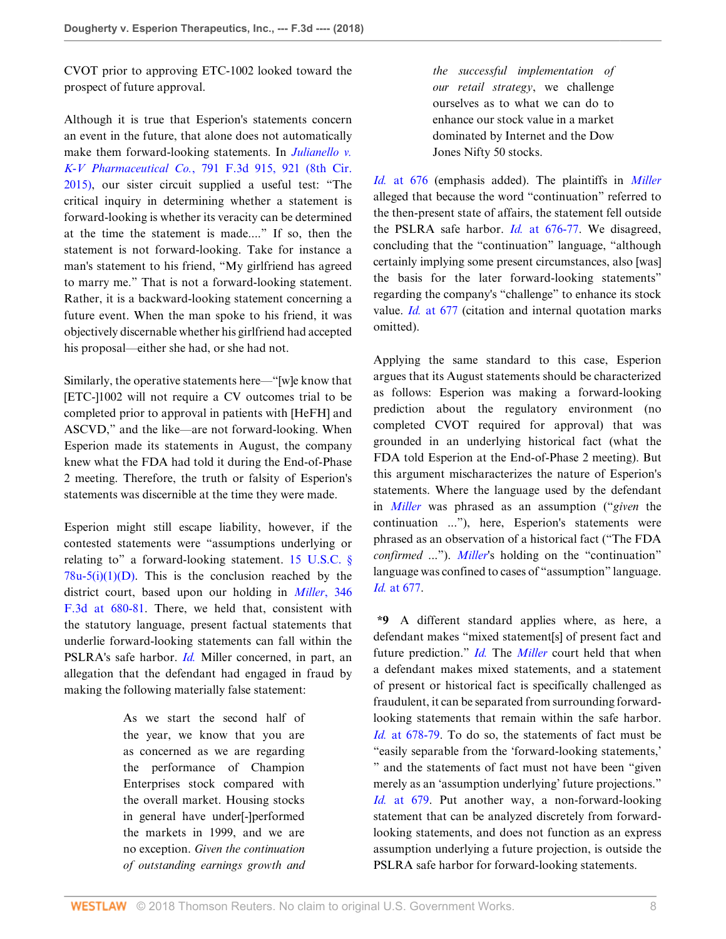CVOT prior to approving ETC-1002 looked toward the prospect of future approval.

Although it is true that Esperion's statements concern an event in the future, that alone does not automatically make them forward-looking statements. In *[Julianello v.](http://www.westlaw.com/Link/Document/FullText?findType=Y&serNum=2036598715&pubNum=0000506&originatingDoc=If5ccff60c2b211e89a72e3efe6364bb2&refType=RP&fi=co_pp_sp_506_921&originationContext=document&vr=3.0&rs=cblt1.0&transitionType=DocumentItem&contextData=(sc.Search)#co_pp_sp_506_921) K-V Pharmaceutical Co.*[, 791 F.3d 915, 921 \(8th Cir.](http://www.westlaw.com/Link/Document/FullText?findType=Y&serNum=2036598715&pubNum=0000506&originatingDoc=If5ccff60c2b211e89a72e3efe6364bb2&refType=RP&fi=co_pp_sp_506_921&originationContext=document&vr=3.0&rs=cblt1.0&transitionType=DocumentItem&contextData=(sc.Search)#co_pp_sp_506_921) [2015\)](http://www.westlaw.com/Link/Document/FullText?findType=Y&serNum=2036598715&pubNum=0000506&originatingDoc=If5ccff60c2b211e89a72e3efe6364bb2&refType=RP&fi=co_pp_sp_506_921&originationContext=document&vr=3.0&rs=cblt1.0&transitionType=DocumentItem&contextData=(sc.Search)#co_pp_sp_506_921), our sister circuit supplied a useful test: "The critical inquiry in determining whether a statement is forward-looking is whether its veracity can be determined at the time the statement is made...." If so, then the statement is not forward-looking. Take for instance a man's statement to his friend, "My girlfriend has agreed to marry me." That is not a forward-looking statement. Rather, it is a backward-looking statement concerning a future event. When the man spoke to his friend, it was objectively discernable whether his girlfriend had accepted his proposal—either she had, or she had not.

Similarly, the operative statements here—"[w]e know that [ETC-]1002 will not require a CV outcomes trial to be completed prior to approval in patients with [HeFH] and ASCVD," and the like—are not forward-looking. When Esperion made its statements in August, the company knew what the FDA had told it during the End-of-Phase 2 meeting. Therefore, the truth or falsity of Esperion's statements was discernible at the time they were made.

Esperion might still escape liability, however, if the contested statements were "assumptions underlying or relating to" a forward-looking statement. [15 U.S.C. §](http://www.westlaw.com/Link/Document/FullText?findType=L&pubNum=1000546&cite=15USCAS78U-5&originatingDoc=If5ccff60c2b211e89a72e3efe6364bb2&refType=RB&originationContext=document&vr=3.0&rs=cblt1.0&transitionType=DocumentItem&contextData=(sc.Search)#co_pp_f1680000bf130)  $78u-5(i)(1)(D)$ . This is the conclusion reached by the district court, based upon our holding in *[Miller](http://www.westlaw.com/Link/Document/FullText?findType=Y&serNum=2003684552&pubNum=0000506&originatingDoc=If5ccff60c2b211e89a72e3efe6364bb2&refType=RP&fi=co_pp_sp_506_680&originationContext=document&vr=3.0&rs=cblt1.0&transitionType=DocumentItem&contextData=(sc.Search)#co_pp_sp_506_680)*, 346 [F.3d at 680-81.](http://www.westlaw.com/Link/Document/FullText?findType=Y&serNum=2003684552&pubNum=0000506&originatingDoc=If5ccff60c2b211e89a72e3efe6364bb2&refType=RP&fi=co_pp_sp_506_680&originationContext=document&vr=3.0&rs=cblt1.0&transitionType=DocumentItem&contextData=(sc.Search)#co_pp_sp_506_680) There, we held that, consistent with the statutory language, present factual statements that underlie forward-looking statements can fall within the PSLRA's safe harbor. *[Id.](http://www.westlaw.com/Link/Document/FullText?findType=Y&serNum=2003684552&pubNum=0000506&originatingDoc=If5ccff60c2b211e89a72e3efe6364bb2&refType=RP&originationContext=document&vr=3.0&rs=cblt1.0&transitionType=DocumentItem&contextData=(sc.Search))* Miller concerned, in part, an allegation that the defendant had engaged in fraud by making the following materially false statement:

> As we start the second half of the year, we know that you are as concerned as we are regarding the performance of Champion Enterprises stock compared with the overall market. Housing stocks in general have under[-]performed the markets in 1999, and we are no exception. *Given the continuation of outstanding earnings growth and*

*the successful implementation of our retail strategy*, we challenge ourselves as to what we can do to enhance our stock value in a market dominated by Internet and the Dow Jones Nifty 50 stocks.

*Id.* [at 676](http://www.westlaw.com/Link/Document/FullText?findType=Y&serNum=2003684552&pubNum=0000506&originatingDoc=If5ccff60c2b211e89a72e3efe6364bb2&refType=RP&fi=co_pp_sp_506_676&originationContext=document&vr=3.0&rs=cblt1.0&transitionType=DocumentItem&contextData=(sc.Search)#co_pp_sp_506_676) (emphasis added). The plaintiffs in *[Miller](http://www.westlaw.com/Link/Document/FullText?findType=Y&serNum=2003684552&pubNum=0000506&originatingDoc=If5ccff60c2b211e89a72e3efe6364bb2&refType=RP&originationContext=document&vr=3.0&rs=cblt1.0&transitionType=DocumentItem&contextData=(sc.Search))* alleged that because the word "continuation" referred to the then-present state of affairs, the statement fell outside the PSLRA safe harbor. *Id.* [at 676-77](http://www.westlaw.com/Link/Document/FullText?findType=Y&serNum=2003684552&pubNum=0000506&originatingDoc=If5ccff60c2b211e89a72e3efe6364bb2&refType=RP&fi=co_pp_sp_506_676&originationContext=document&vr=3.0&rs=cblt1.0&transitionType=DocumentItem&contextData=(sc.Search)#co_pp_sp_506_676). We disagreed, concluding that the "continuation" language, "although certainly implying some present circumstances, also [was] the basis for the later forward-looking statements" regarding the company's "challenge" to enhance its stock value. *Id.* [at 677](http://www.westlaw.com/Link/Document/FullText?findType=Y&serNum=2003684552&pubNum=0000506&originatingDoc=If5ccff60c2b211e89a72e3efe6364bb2&refType=RP&fi=co_pp_sp_506_677&originationContext=document&vr=3.0&rs=cblt1.0&transitionType=DocumentItem&contextData=(sc.Search)#co_pp_sp_506_677) (citation and internal quotation marks omitted).

Applying the same standard to this case, Esperion argues that its August statements should be characterized as follows: Esperion was making a forward-looking prediction about the regulatory environment (no completed CVOT required for approval) that was grounded in an underlying historical fact (what the FDA told Esperion at the End-of-Phase 2 meeting). But this argument mischaracterizes the nature of Esperion's statements. Where the language used by the defendant in *[Miller](http://www.westlaw.com/Link/Document/FullText?findType=Y&serNum=2003684552&pubNum=0000506&originatingDoc=If5ccff60c2b211e89a72e3efe6364bb2&refType=RP&originationContext=document&vr=3.0&rs=cblt1.0&transitionType=DocumentItem&contextData=(sc.Search))* was phrased as an assumption ("*given* the continuation ..."), here, Esperion's statements were phrased as an observation of a historical fact ("The FDA *confirmed* ..."). *[Miller](http://www.westlaw.com/Link/Document/FullText?findType=Y&serNum=2003684552&originatingDoc=If5ccff60c2b211e89a72e3efe6364bb2&refType=RP&originationContext=document&vr=3.0&rs=cblt1.0&transitionType=DocumentItem&contextData=(sc.Search))*'s holding on the "continuation" language was confined to cases of "assumption" language. *Id.* [at 677.](http://www.westlaw.com/Link/Document/FullText?findType=Y&serNum=2003684552&pubNum=0000506&originatingDoc=If5ccff60c2b211e89a72e3efe6364bb2&refType=RP&fi=co_pp_sp_506_677&originationContext=document&vr=3.0&rs=cblt1.0&transitionType=DocumentItem&contextData=(sc.Search)#co_pp_sp_506_677)

**\*9** A different standard applies where, as here, a defendant makes "mixed statement[s] of present fact and future prediction." *[Id.](http://www.westlaw.com/Link/Document/FullText?findType=Y&serNum=2003684552&pubNum=0000506&originatingDoc=If5ccff60c2b211e89a72e3efe6364bb2&refType=RP&originationContext=document&vr=3.0&rs=cblt1.0&transitionType=DocumentItem&contextData=(sc.Search))* The *[Miller](http://www.westlaw.com/Link/Document/FullText?findType=Y&serNum=2003684552&pubNum=0000506&originatingDoc=If5ccff60c2b211e89a72e3efe6364bb2&refType=RP&originationContext=document&vr=3.0&rs=cblt1.0&transitionType=DocumentItem&contextData=(sc.Search))* court held that when a defendant makes mixed statements, and a statement of present or historical fact is specifically challenged as fraudulent, it can be separated from surrounding forwardlooking statements that remain within the safe harbor. *Id.* [at 678-79.](http://www.westlaw.com/Link/Document/FullText?findType=Y&serNum=2003684552&pubNum=0000506&originatingDoc=If5ccff60c2b211e89a72e3efe6364bb2&refType=RP&fi=co_pp_sp_506_678&originationContext=document&vr=3.0&rs=cblt1.0&transitionType=DocumentItem&contextData=(sc.Search)#co_pp_sp_506_678) To do so, the statements of fact must be "easily separable from the 'forward-looking statements,' " and the statements of fact must not have been "given merely as an 'assumption underlying' future projections." *Id.* [at 679](http://www.westlaw.com/Link/Document/FullText?findType=Y&serNum=2003684552&pubNum=0000506&originatingDoc=If5ccff60c2b211e89a72e3efe6364bb2&refType=RP&fi=co_pp_sp_506_679&originationContext=document&vr=3.0&rs=cblt1.0&transitionType=DocumentItem&contextData=(sc.Search)#co_pp_sp_506_679). Put another way, a non-forward-looking statement that can be analyzed discretely from forwardlooking statements, and does not function as an express assumption underlying a future projection, is outside the PSLRA safe harbor for forward-looking statements.